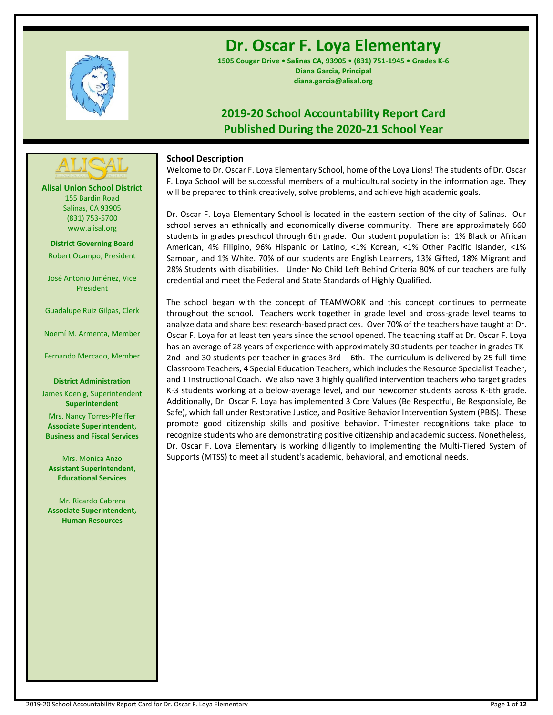

# **Dr. Oscar F. Loya Elementary**

**1505 Cougar Drive • Salinas CA, 93905 • (831) 751-1945 • Grades K-6 Diana Garcia, Principal diana.garcia@alisal.org**

# **2019-20 School Accountability Report Card Published During the 2020-21 School Year**

# **School Description**

Welcome to Dr. Oscar F. Loya Elementary School, home of the Loya Lions! The students of Dr. Oscar F. Loya School will be successful members of a multicultural society in the information age. They will be prepared to think creatively, solve problems, and achieve high academic goals.

Dr. Oscar F. Loya Elementary School is located in the eastern section of the city of Salinas. Our school serves an ethnically and economically diverse community. There are approximately 660 students in grades preschool through 6th grade. Our student population is: 1% Black or African American, 4% Filipino, 96% Hispanic or Latino, <1% Korean, <1% Other Pacific Islander, <1% Samoan, and 1% White. 70% of our students are English Learners, 13% Gifted, 18% Migrant and 28% Students with disabilities. Under No Child Left Behind Criteria 80% of our teachers are fully credential and meet the Federal and State Standards of Highly Qualified.

The school began with the concept of TEAMWORK and this concept continues to permeate throughout the school. Teachers work together in grade level and cross-grade level teams to analyze data and share best research-based practices. Over 70% of the teachers have taught at Dr. Oscar F. Loya for at least ten years since the school opened. The teaching staff at Dr. Oscar F. Loya has an average of 28 years of experience with approximately 30 students per teacher in grades TK-2nd and 30 students per teacher in grades 3rd – 6th. The curriculum is delivered by 25 full-time Classroom Teachers, 4 Special Education Teachers, which includes the Resource Specialist Teacher, and 1 Instructional Coach. We also have 3 highly qualified intervention teachers who target grades K-3 students working at a below-average level, and our newcomer students across K-6th grade. Additionally, Dr. Oscar F. Loya has implemented 3 Core Values (Be Respectful, Be Responsible, Be Safe), which fall under Restorative Justice, and Positive Behavior Intervention System (PBIS). These promote good citizenship skills and positive behavior. Trimester recognitions take place to recognize students who are demonstrating positive citizenship and academic success. Nonetheless, Dr. Oscar F. Loya Elementary is working diligently to implementing the Multi-Tiered System of Supports (MTSS) to meet all student's academic, behavioral, and emotional needs.

**Alisal Union School District** 155 Bardin Road Salinas, CA 93905 (831) 753-5700 www.alisal.org

**---- ----**

**District Governing Board** Robert Ocampo, President

José Antonio Jiménez, Vice President

Guadalupe Ruiz Gilpas, Clerk

Noemí M. Armenta, Member

Fernando Mercado, Member

### **District Administration**

James Koenig, Superintendent **Superintendent** Mrs. Nancy Torres-Pfeiffer **Associate Superintendent, Business and Fiscal Services**

Mrs. Monica Anzo **Assistant Superintendent, Educational Services**

Mr. Ricardo Cabrera **Associate Superintendent, Human Resources**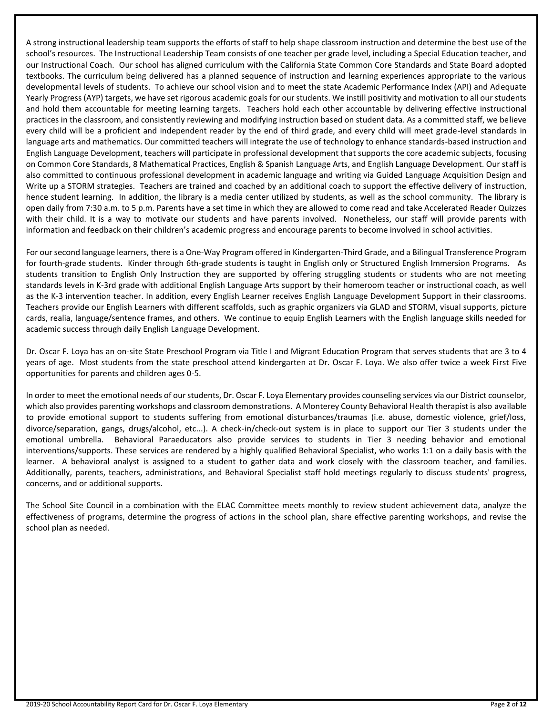A strong instructional leadership team supports the efforts of staff to help shape classroom instruction and determine the best use of the school's resources. The Instructional Leadership Team consists of one teacher per grade level, including a Special Education teacher, and our Instructional Coach. Our school has aligned curriculum with the California State Common Core Standards and State Board adopted textbooks. The curriculum being delivered has a planned sequence of instruction and learning experiences appropriate to the various developmental levels of students. To achieve our school vision and to meet the state Academic Performance Index (API) and Adequate Yearly Progress (AYP) targets, we have set rigorous academic goals for our students. We instill positivity and motivation to all our students and hold them accountable for meeting learning targets. Teachers hold each other accountable by delivering effective instructional practices in the classroom, and consistently reviewing and modifying instruction based on student data. As a committed staff, we believe every child will be a proficient and independent reader by the end of third grade, and every child will meet grade-level standards in language arts and mathematics. Our committed teachers will integrate the use of technology to enhance standards-based instruction and English Language Development, teachers will participate in professional development that supports the core academic subjects, focusing on Common Core Standards, 8 Mathematical Practices, English & Spanish Language Arts, and English Language Development. Our staff is also committed to continuous professional development in academic language and writing via Guided Language Acquisition Design and Write up a STORM strategies. Teachers are trained and coached by an additional coach to support the effective delivery of instruction, hence student learning. In addition, the library is a media center utilized by students, as well as the school community. The library is open daily from 7:30 a.m. to 5 p.m. Parents have a set time in which they are allowed to come read and take Accelerated Reader Quizzes with their child. It is a way to motivate our students and have parents involved. Nonetheless, our staff will provide parents with information and feedback on their children's academic progress and encourage parents to become involved in school activities.

For our second language learners, there is a One-Way Program offered in Kindergarten-Third Grade, and a Bilingual Transference Program for fourth-grade students. Kinder through 6th-grade students is taught in English only or Structured English Immersion Programs. As students transition to English Only Instruction they are supported by offering struggling students or students who are not meeting standards levels in K-3rd grade with additional English Language Arts support by their homeroom teacher or instructional coach, as well as the K-3 intervention teacher. In addition, every English Learner receives English Language Development Support in their classrooms. Teachers provide our English Learners with different scaffolds, such as graphic organizers via GLAD and STORM, visual supports, picture cards, realia, language/sentence frames, and others. We continue to equip English Learners with the English language skills needed for academic success through daily English Language Development.

Dr. Oscar F. Loya has an on-site State Preschool Program via Title I and Migrant Education Program that serves students that are 3 to 4 years of age. Most students from the state preschool attend kindergarten at Dr. Oscar F. Loya. We also offer twice a week First Five opportunities for parents and children ages 0-5.

In order to meet the emotional needs of our students, Dr. Oscar F. Loya Elementary provides counseling services via our District counselor, which also provides parenting workshops and classroom demonstrations. A Monterey County Behavioral Health therapist is also available to provide emotional support to students suffering from emotional disturbances/traumas (i.e. abuse, domestic violence, grief/loss, divorce/separation, gangs, drugs/alcohol, etc...). A check-in/check-out system is in place to support our Tier 3 students under the emotional umbrella. Behavioral Paraeducators also provide services to students in Tier 3 needing behavior and emotional interventions/supports. These services are rendered by a highly qualified Behavioral Specialist, who works 1:1 on a daily basis with the learner. A behavioral analyst is assigned to a student to gather data and work closely with the classroom teacher, and families. Additionally, parents, teachers, administrations, and Behavioral Specialist staff hold meetings regularly to discuss students' progress, concerns, and or additional supports.

The School Site Council in a combination with the ELAC Committee meets monthly to review student achievement data, analyze the effectiveness of programs, determine the progress of actions in the school plan, share effective parenting workshops, and revise the school plan as needed.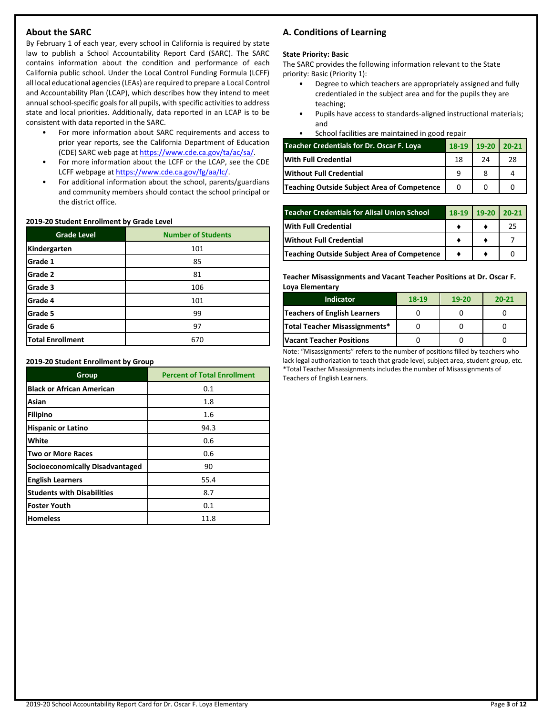# **About the SARC**

By February 1 of each year, every school in California is required by state law to publish a School Accountability Report Card (SARC). The SARC contains information about the condition and performance of each California public school. Under the Local Control Funding Formula (LCFF) all local educational agencies (LEAs) are required to prepare a Local Control and Accountability Plan (LCAP), which describes how they intend to meet annual school-specific goals for all pupils, with specific activities to address state and local priorities. Additionally, data reported in an LCAP is to be consistent with data reported in the SARC.

- For more information about SARC requirements and access to prior year reports, see the California Department of Education (CDE) SARC web page at [https://www.cde.ca.gov/ta/ac/sa/.](https://www.cde.ca.gov/ta/ac/sa/)
- For more information about the LCFF or the LCAP, see the CDE LCFF webpage a[t https://www.cde.ca.gov/fg/aa/lc/.](https://www.cde.ca.gov/fg/aa/lc/)
- For additional information about the school, parents/guardians and community members should contact the school principal or the district office.

### **2019-20 Student Enrollment by Grade Level**

| <b>Grade Level</b>      | <b>Number of Students</b> |
|-------------------------|---------------------------|
| Kindergarten            | 101                       |
| Grade 1                 | 85                        |
| Grade 2                 | 81                        |
| Grade 3                 | 106                       |
| Grade 4                 | 101                       |
| Grade 5                 | 99                        |
| Grade 6                 | 97                        |
| <b>Total Enrollment</b> | 670                       |

**2019-20 Student Enrollment by Group**

| Group                             | <b>Percent of Total Enrollment</b> |
|-----------------------------------|------------------------------------|
| <b>Black or African American</b>  | 0.1                                |
| Asian                             | 1.8                                |
| Filipino                          | 1.6                                |
| <b>Hispanic or Latino</b>         | 94.3                               |
| White                             | 0.6                                |
| <b>Two or More Races</b>          | 0.6                                |
| Socioeconomically Disadvantaged   | 90                                 |
| <b>English Learners</b>           | 55.4                               |
| <b>Students with Disabilities</b> | 8.7                                |
| Foster Youth                      | 0.1                                |
| <b>Homeless</b>                   | 11.8                               |

# **A. Conditions of Learning**

### **State Priority: Basic**

The SARC provides the following information relevant to the State priority: Basic (Priority 1):

- Degree to which teachers are appropriately assigned and fully credentialed in the subject area and for the pupils they are teaching;
- Pupils have access to standards-aligned instructional materials; and
- School facilities are maintained in good repair

| <b>Teacher Credentials for Dr. Oscar F. Loya</b> |    | 18-19 19-20 20-21 |    |
|--------------------------------------------------|----|-------------------|----|
| <b>With Full Credential</b>                      | 18 | 24                | 28 |
| <b>Without Full Credential</b>                   |    |                   |    |
| Teaching Outside Subject Area of Competence      |    |                   |    |

| <b>Teacher Credentials for Alisal Union School</b> | $18-19$ | $19-20$ | $120-21$ |
|----------------------------------------------------|---------|---------|----------|
| <b>With Full Credential</b>                        |         |         | 25       |
| Without Full Credential                            |         |         |          |
| Teaching Outside Subject Area of Competence        |         |         |          |

**Teacher Misassignments and Vacant Teacher Positions at Dr. Oscar F. Loya Elementary**

| <b>Indicator</b>                | 18-19 | $19-20$ | $20 - 21$ |
|---------------------------------|-------|---------|-----------|
| Teachers of English Learners    |       |         |           |
| Total Teacher Misassignments*   |       |         |           |
| <b>Vacant Teacher Positions</b> |       |         |           |

Note: "Misassignments" refers to the number of positions filled by teachers who lack legal authorization to teach that grade level, subject area, student group, etc. \*Total Teacher Misassignments includes the number of Misassignments of Teachers of English Learners.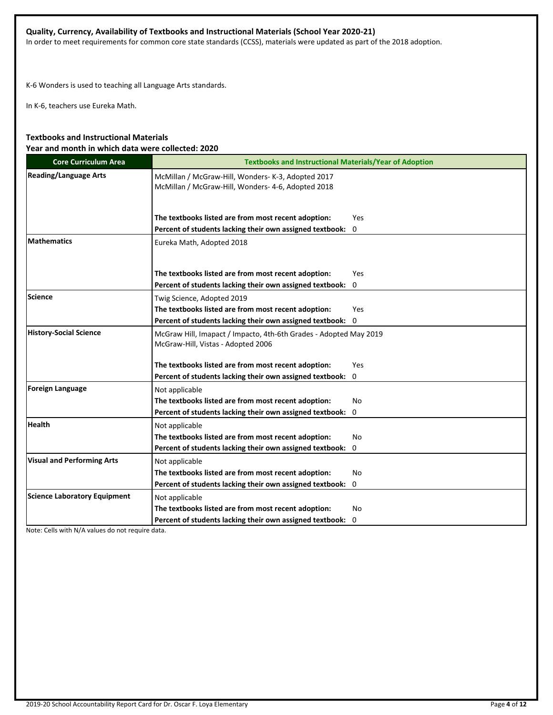# **Quality, Currency, Availability of Textbooks and Instructional Materials (School Year 2020-21)**

In order to meet requirements for common core state standards (CCSS), materials were updated as part of the 2018 adoption.

K-6 Wonders is used to teaching all Language Arts standards.

In K-6, teachers use Eureka Math.

# **Textbooks and Instructional Materials Year and month in which data were collected: 2020**

| <b>Core Curriculum Area</b>         | <b>Textbooks and Instructional Materials/Year of Adoption</b>                                                   |                 |  |  |  |
|-------------------------------------|-----------------------------------------------------------------------------------------------------------------|-----------------|--|--|--|
| <b>Reading/Language Arts</b>        | McMillan / McGraw-Hill, Wonders- K-3, Adopted 2017<br>McMillan / McGraw-Hill, Wonders- 4-6, Adopted 2018        |                 |  |  |  |
|                                     | The textbooks listed are from most recent adoption:<br>Percent of students lacking their own assigned textbook: | Yes<br>$\Omega$ |  |  |  |
| <b>Mathematics</b>                  | Eureka Math, Adopted 2018                                                                                       |                 |  |  |  |
|                                     | The textbooks listed are from most recent adoption:<br>Percent of students lacking their own assigned textbook: | Yes<br>0        |  |  |  |
| <b>Science</b>                      | Twig Science, Adopted 2019                                                                                      |                 |  |  |  |
|                                     | The textbooks listed are from most recent adoption:                                                             | <b>Yes</b>      |  |  |  |
|                                     | Percent of students lacking their own assigned textbook:                                                        | 0               |  |  |  |
| <b>History-Social Science</b>       | McGraw Hill, Imapact / Impacto, 4th-6th Grades - Adopted May 2019<br>McGraw-Hill, Vistas - Adopted 2006         |                 |  |  |  |
|                                     | The textbooks listed are from most recent adoption:                                                             | Yes             |  |  |  |
|                                     | Percent of students lacking their own assigned textbook:                                                        | 0               |  |  |  |
| <b>Foreign Language</b>             | Not applicable                                                                                                  |                 |  |  |  |
|                                     | The textbooks listed are from most recent adoption:                                                             | No              |  |  |  |
|                                     | Percent of students lacking their own assigned textbook:                                                        | 0               |  |  |  |
| <b>Health</b>                       | Not applicable                                                                                                  |                 |  |  |  |
|                                     | The textbooks listed are from most recent adoption:                                                             | No              |  |  |  |
|                                     | Percent of students lacking their own assigned textbook:                                                        | 0               |  |  |  |
| <b>Visual and Performing Arts</b>   | Not applicable                                                                                                  |                 |  |  |  |
|                                     | The textbooks listed are from most recent adoption:                                                             | <b>No</b>       |  |  |  |
|                                     | Percent of students lacking their own assigned textbook:                                                        | 0               |  |  |  |
| <b>Science Laboratory Equipment</b> | Not applicable                                                                                                  |                 |  |  |  |
|                                     | The textbooks listed are from most recent adoption:                                                             | No.             |  |  |  |
|                                     | Percent of students lacking their own assigned textbook:                                                        | 0               |  |  |  |

Note: Cells with N/A values do not require data.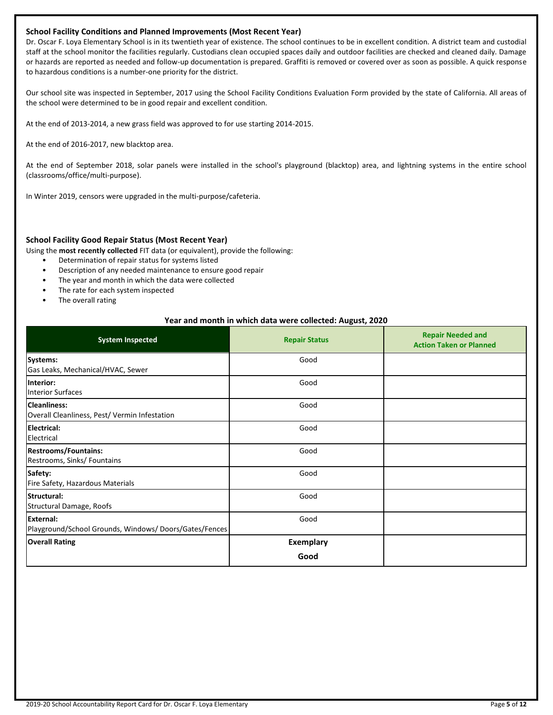### **School Facility Conditions and Planned Improvements (Most Recent Year)**

Dr. Oscar F. Loya Elementary School is in its twentieth year of existence. The school continues to be in excellent condition. A district team and custodial staff at the school monitor the facilities regularly. Custodians clean occupied spaces daily and outdoor facilities are checked and cleaned daily. Damage or hazards are reported as needed and follow-up documentation is prepared. Graffiti is removed or covered over as soon as possible. A quick response to hazardous conditions is a number-one priority for the district.

Our school site was inspected in September, 2017 using the School Facility Conditions Evaluation Form provided by the state of California. All areas of the school were determined to be in good repair and excellent condition.

At the end of 2013-2014, a new grass field was approved to for use starting 2014-2015.

At the end of 2016-2017, new blacktop area.

At the end of September 2018, solar panels were installed in the school's playground (blacktop) area, and lightning systems in the entire school (classrooms/office/multi-purpose).

In Winter 2019, censors were upgraded in the multi-purpose/cafeteria.

### **School Facility Good Repair Status (Most Recent Year)**

Using the **most recently collected** FIT data (or equivalent), provide the following:

- Determination of repair status for systems listed
- Description of any needed maintenance to ensure good repair
- The year and month in which the data were collected
- The rate for each system inspected
- The overall rating

### **Year and month in which data were collected: August, 2020**

| <b>System Inspected</b>                                                   | <b>Repair Status</b>     | <b>Repair Needed and</b><br><b>Action Taken or Planned</b> |
|---------------------------------------------------------------------------|--------------------------|------------------------------------------------------------|
| <b>Systems:</b><br>Gas Leaks, Mechanical/HVAC, Sewer                      | Good                     |                                                            |
| Interior:<br><b>Interior Surfaces</b>                                     | Good                     |                                                            |
| <b>Cleanliness:</b><br>Overall Cleanliness, Pest/ Vermin Infestation      | Good                     |                                                            |
| Electrical:<br>Electrical                                                 | Good                     |                                                            |
| <b>Restrooms/Fountains:</b><br>Restrooms, Sinks/ Fountains                | Good                     |                                                            |
| Safety:<br>Fire Safety, Hazardous Materials                               | Good                     |                                                            |
| Structural:<br>Structural Damage, Roofs                                   | Good                     |                                                            |
| <b>External:</b><br>Playground/School Grounds, Windows/Doors/Gates/Fences | Good                     |                                                            |
| <b>Overall Rating</b>                                                     | <b>Exemplary</b><br>Good |                                                            |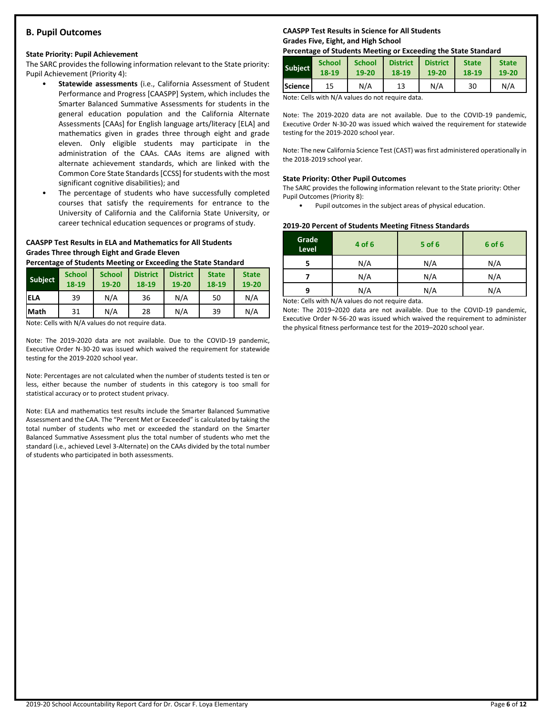# **B. Pupil Outcomes**

# **State Priority: Pupil Achievement**

The SARC provides the following information relevant to the State priority: Pupil Achievement (Priority 4):

- **Statewide assessments** (i.e., California Assessment of Student Performance and Progress [CAASPP] System, which includes the Smarter Balanced Summative Assessments for students in the general education population and the California Alternate Assessments [CAAs] for English language arts/literacy [ELA] and mathematics given in grades three through eight and grade eleven. Only eligible students may participate in the administration of the CAAs. CAAs items are aligned with alternate achievement standards, which are linked with the Common Core State Standards [CCSS] for students with the most significant cognitive disabilities); and
- The percentage of students who have successfully completed courses that satisfy the requirements for entrance to the University of California and the California State University, or career technical education sequences or programs of study.

# **CAASPP Test Results in ELA and Mathematics for All Students Grades Three through Eight and Grade Eleven**

**Percentage of Students Meeting or Exceeding the State Standard**

| <b>Subject</b> | <b>School</b><br>18-19 | <b>School</b><br>19-20 | <b>District</b><br>18-19 | <b>District</b><br>19-20 | <b>State</b><br>18-19 | <b>State</b><br>19-20 |
|----------------|------------------------|------------------------|--------------------------|--------------------------|-----------------------|-----------------------|
| ELA            | 39                     | N/A                    | 36                       | N/A                      | 50                    | N/A                   |
| <b>Math</b>    | 31                     | N/A                    | 28                       | N/A                      | 39                    | N/A                   |

Note: Cells with N/A values do not require data.

Note: The 2019-2020 data are not available. Due to the COVID-19 pandemic, Executive Order N-30-20 was issued which waived the requirement for statewide testing for the 2019-2020 school year.

Note: Percentages are not calculated when the number of students tested is ten or less, either because the number of students in this category is too small for statistical accuracy or to protect student privacy.

Note: ELA and mathematics test results include the Smarter Balanced Summative Assessment and the CAA. The "Percent Met or Exceeded" is calculated by taking the total number of students who met or exceeded the standard on the Smarter Balanced Summative Assessment plus the total number of students who met the standard (i.e., achieved Level 3-Alternate) on the CAAs divided by the total number of students who participated in both assessments.

# **CAASPP Test Results in Science for All Students Grades Five, Eight, and High School**

# **Percentage of Students Meeting or Exceeding the State Standard**

| <b>Subject</b> | <b>School</b> | <b>School</b> | <b>District</b> | <b>District</b> | <b>State</b> | <b>State</b> |
|----------------|---------------|---------------|-----------------|-----------------|--------------|--------------|
|                | 18-19         | 19-20         | 18-19           | $19 - 20$       | 18-19        | 19-20        |
| Science        | 15            | N/A           | 13              | N/A             | 30           | N/A          |

Note: Cells with N/A values do not require data.

Note: The 2019-2020 data are not available. Due to the COVID-19 pandemic, Executive Order N-30-20 was issued which waived the requirement for statewide testing for the 2019-2020 school year.

Note: The new California Science Test (CAST) was first administered operationally in the 2018-2019 school year.

# **State Priority: Other Pupil Outcomes**

The SARC provides the following information relevant to the State priority: Other Pupil Outcomes (Priority 8):

Pupil outcomes in the subject areas of physical education.

# **2019-20 Percent of Students Meeting Fitness Standards**

| Grade<br>Level | 4 of 6                                          | $5$ of 6 | 6 of 6 |
|----------------|-------------------------------------------------|----------|--------|
|                | N/A                                             | N/A      | N/A    |
|                | N/A                                             | N/A      | N/A    |
| 9              | N/A                                             | N/A      | N/A    |
|                | Netou Colle with N/A volves do not require data |          |        |

Note: Cells with N/A values do not require data.

Note: The 2019–2020 data are not available. Due to the COVID-19 pandemic, Executive Order N-56-20 was issued which waived the requirement to administer the physical fitness performance test for the 2019–2020 school year.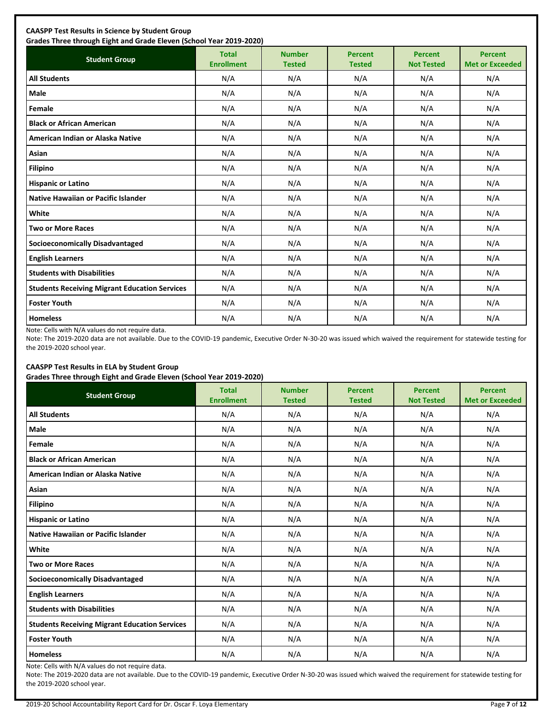| <b>Student Group</b>                                 | <b>Total</b><br><b>Enrollment</b> | <b>Number</b><br><b>Tested</b> | <b>Percent</b><br><b>Tested</b> | <b>Percent</b><br><b>Not Tested</b> | <b>Percent</b><br><b>Met or Exceeded</b> |
|------------------------------------------------------|-----------------------------------|--------------------------------|---------------------------------|-------------------------------------|------------------------------------------|
| <b>All Students</b>                                  | N/A                               | N/A                            | N/A                             | N/A                                 | N/A                                      |
| <b>Male</b>                                          | N/A                               | N/A                            | N/A                             | N/A                                 | N/A                                      |
| Female                                               | N/A                               | N/A                            | N/A                             | N/A                                 | N/A                                      |
| <b>Black or African American</b>                     | N/A                               | N/A                            | N/A                             | N/A                                 | N/A                                      |
| American Indian or Alaska Native                     | N/A                               | N/A                            | N/A                             | N/A                                 | N/A                                      |
| <b>Asian</b>                                         | N/A                               | N/A                            | N/A                             | N/A                                 | N/A                                      |
| <b>Filipino</b>                                      | N/A                               | N/A                            | N/A                             | N/A                                 | N/A                                      |
| <b>Hispanic or Latino</b>                            | N/A                               | N/A                            | N/A                             | N/A                                 | N/A                                      |
| Native Hawaiian or Pacific Islander                  | N/A                               | N/A                            | N/A                             | N/A                                 | N/A                                      |
| White                                                | N/A                               | N/A                            | N/A                             | N/A                                 | N/A                                      |
| <b>Two or More Races</b>                             | N/A                               | N/A                            | N/A                             | N/A                                 | N/A                                      |
| <b>Socioeconomically Disadvantaged</b>               | N/A                               | N/A                            | N/A                             | N/A                                 | N/A                                      |
| <b>English Learners</b>                              | N/A                               | N/A                            | N/A                             | N/A                                 | N/A                                      |
| <b>Students with Disabilities</b>                    | N/A                               | N/A                            | N/A                             | N/A                                 | N/A                                      |
| <b>Students Receiving Migrant Education Services</b> | N/A                               | N/A                            | N/A                             | N/A                                 | N/A                                      |
| <b>Foster Youth</b>                                  | N/A                               | N/A                            | N/A                             | N/A                                 | N/A                                      |
| <b>Homeless</b>                                      | N/A                               | N/A                            | N/A                             | N/A                                 | N/A                                      |

Note: Cells with N/A values do not require data.

Note: The 2019-2020 data are not available. Due to the COVID-19 pandemic, Executive Order N-30-20 was issued which waived the requirement for statewide testing for the 2019-2020 school year.

# **CAASPP Test Results in ELA by Student Group**

**Grades Three through Eight and Grade Eleven (School Year 2019-2020)**

| <b>Student Group</b>                                 | .,<br><b>Total</b><br><b>Enrollment</b> | <b>Number</b><br><b>Tested</b> | <b>Percent</b><br><b>Tested</b> | <b>Percent</b><br><b>Not Tested</b> | <b>Percent</b><br><b>Met or Exceeded</b> |
|------------------------------------------------------|-----------------------------------------|--------------------------------|---------------------------------|-------------------------------------|------------------------------------------|
| <b>All Students</b>                                  | N/A                                     | N/A                            | N/A                             | N/A                                 | N/A                                      |
| Male                                                 | N/A                                     | N/A                            | N/A                             | N/A                                 | N/A                                      |
| Female                                               | N/A                                     | N/A                            | N/A                             | N/A                                 | N/A                                      |
| <b>Black or African American</b>                     | N/A                                     | N/A                            | N/A                             | N/A                                 | N/A                                      |
| American Indian or Alaska Native                     | N/A                                     | N/A                            | N/A                             | N/A                                 | N/A                                      |
| Asian                                                | N/A                                     | N/A                            | N/A                             | N/A                                 | N/A                                      |
| <b>Filipino</b>                                      | N/A                                     | N/A                            | N/A                             | N/A                                 | N/A                                      |
| <b>Hispanic or Latino</b>                            | N/A                                     | N/A                            | N/A                             | N/A                                 | N/A                                      |
| Native Hawaiian or Pacific Islander                  | N/A                                     | N/A                            | N/A                             | N/A                                 | N/A                                      |
| White                                                | N/A                                     | N/A                            | N/A                             | N/A                                 | N/A                                      |
| <b>Two or More Races</b>                             | N/A                                     | N/A                            | N/A                             | N/A                                 | N/A                                      |
| <b>Socioeconomically Disadvantaged</b>               | N/A                                     | N/A                            | N/A                             | N/A                                 | N/A                                      |
| <b>English Learners</b>                              | N/A                                     | N/A                            | N/A                             | N/A                                 | N/A                                      |
| <b>Students with Disabilities</b>                    | N/A                                     | N/A                            | N/A                             | N/A                                 | N/A                                      |
| <b>Students Receiving Migrant Education Services</b> | N/A                                     | N/A                            | N/A                             | N/A                                 | N/A                                      |
| <b>Foster Youth</b>                                  | N/A                                     | N/A                            | N/A                             | N/A                                 | N/A                                      |
| <b>Homeless</b>                                      | N/A                                     | N/A                            | N/A                             | N/A                                 | N/A                                      |

Note: Cells with N/A values do not require data.

Note: The 2019-2020 data are not available. Due to the COVID-19 pandemic, Executive Order N-30-20 was issued which waived the requirement for statewide testing for the 2019-2020 school year.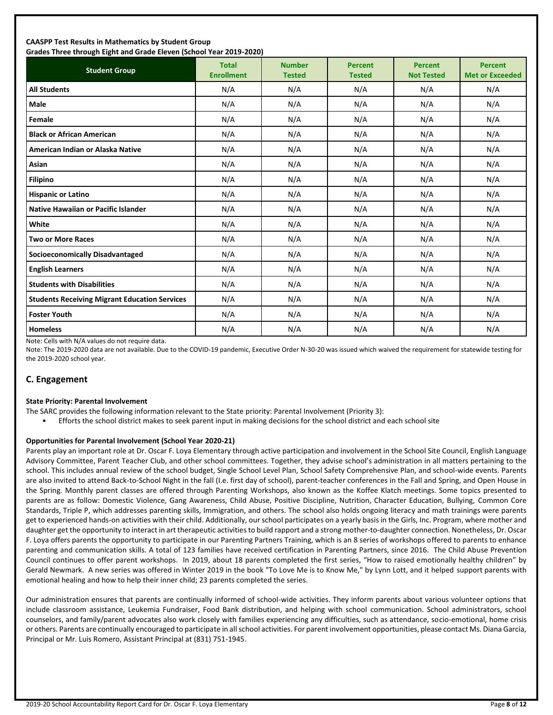### **CAASPP Test Results in Mathematics by Student Group Grades Three through Eight and Grade Eleven (School Year 2019-2020)**

| Grades Timed through Eight and Grade Eleven (School Tear 2015-2020)<br><b>Student Group</b> | <b>Total</b><br><b>Enrollment</b> | <b>Number</b><br><b>Tested</b> | <b>Percent</b><br><b>Tested</b> | <b>Percent</b><br><b>Not Tested</b> | <b>Percent</b><br><b>Met or Exceeded</b> |
|---------------------------------------------------------------------------------------------|-----------------------------------|--------------------------------|---------------------------------|-------------------------------------|------------------------------------------|
| <b>All Students</b>                                                                         | N/A                               | N/A                            | N/A                             | N/A                                 | N/A                                      |
| Male                                                                                        | N/A                               | N/A                            | N/A                             | N/A                                 | N/A                                      |
| Female                                                                                      | N/A                               | N/A                            | N/A                             | N/A                                 | N/A                                      |
| <b>Black or African American</b>                                                            | N/A                               | N/A                            | N/A                             | N/A                                 | N/A                                      |
| American Indian or Alaska Native                                                            | N/A                               | N/A                            | N/A                             | N/A                                 | N/A                                      |
| Asian                                                                                       | N/A                               | N/A                            | N/A                             | N/A                                 | N/A                                      |
| <b>Filipino</b>                                                                             | N/A                               | N/A                            | N/A                             | N/A                                 | N/A                                      |
| <b>Hispanic or Latino</b>                                                                   | N/A                               | N/A                            | N/A                             | N/A                                 | N/A                                      |
| <b>Native Hawaiian or Pacific Islander</b>                                                  | N/A                               | N/A                            | N/A                             | N/A                                 | N/A                                      |
| White                                                                                       | N/A                               | N/A                            | N/A                             | N/A                                 | N/A                                      |
| <b>Two or More Races</b>                                                                    | N/A                               | N/A                            | N/A                             | N/A                                 | N/A                                      |
| <b>Socioeconomically Disadvantaged</b>                                                      | N/A                               | N/A                            | N/A                             | N/A                                 | N/A                                      |
| <b>English Learners</b>                                                                     | N/A                               | N/A                            | N/A                             | N/A                                 | N/A                                      |
| <b>Students with Disabilities</b>                                                           | N/A                               | N/A                            | N/A                             | N/A                                 | N/A                                      |
| <b>Students Receiving Migrant Education Services</b>                                        | N/A                               | N/A                            | N/A                             | N/A                                 | N/A                                      |
| <b>Foster Youth</b>                                                                         | N/A                               | N/A                            | N/A                             | N/A                                 | N/A                                      |
| <b>Homeless</b>                                                                             | N/A                               | N/A                            | N/A                             | N/A                                 | N/A                                      |

Note: Cells with N/A values do not require data.

Note: The 2019-2020 data are not available. Due to the COVID-19 pandemic, Executive Order N-30-20 was issued which waived the requirement for statewide testing for the 2019-2020 school year.

# **C. Engagement**

### **State Priority: Parental Involvement**

- The SARC provides the following information relevant to the State priority: Parental Involvement (Priority 3):
	- Efforts the school district makes to seek parent input in making decisions for the school district and each school site

### **Opportunities for Parental Involvement (School Year 2020-21)**

Parents play an important role at Dr. Oscar F. Loya Elementary through active participation and involvement in the School Site Council, English Language Advisory Committee, Parent Teacher Club, and other school committees. Together, they advise school's administration in all matters pertaining to the school. This includes annual review of the school budget, Single School Level Plan, School Safety Comprehensive Plan, and school-wide events. Parents are also invited to attend Back-to-School Night in the fall (I.e. first day of school), parent-teacher conferences in the Fall and Spring, and Open House in the Spring. Monthly parent classes are offered through Parenting Workshops, also known as the Koffee Klatch meetings. Some topics presented to parents are as follow: Domestic Violence, Gang Awareness, Child Abuse, Positive Discipline, Nutrition, Character Education, Bullying, Common Core Standards, Triple P, which addresses parenting skills, Immigration, and others. The school also holds ongoing literacy and math trainings were parents get to experienced hands-on activities with their child. Additionally, our school participates on a yearly basis in the Girls, Inc. Program, where mother and daughter get the opportunity to interact in art therapeutic activities to build rapport and a strong mother-to-daughter connection. Nonetheless, Dr. Oscar F. Loya offers parents the opportunity to participate in our Parenting Partners Training, which is an 8 series of workshops offered to parents to enhance parenting and communication skills. A total of 123 families have received certification in Parenting Partners, since 2016. The Child Abuse Prevention Council continues to offer parent workshops. In 2019, about 18 parents completed the first series, "How to raised emotionally healthy children" by Gerald Newmark. A new series was offered in Winter 2019 in the book "To Love Me is to Know Me," by Lynn Lott, and it helped support parents with emotional healing and how to help their inner child; 23 parents completed the series.

Our administration ensures that parents are continually informed of school-wide activities. They inform parents about various volunteer options that include classroom assistance, Leukemia Fundraiser, Food Bank distribution, and helping with school communication. School administrators, school counselors, and family/parent advocates also work closely with families experiencing any difficulties, such as attendance, socio-emotional, home crisis or others. Parents are continually encouraged to participate in all school activities. For parent involvement opportunities, please contact Ms. Diana Garcia, Principal or Mr. Luis Romero, Assistant Principal at (831) 751-1945.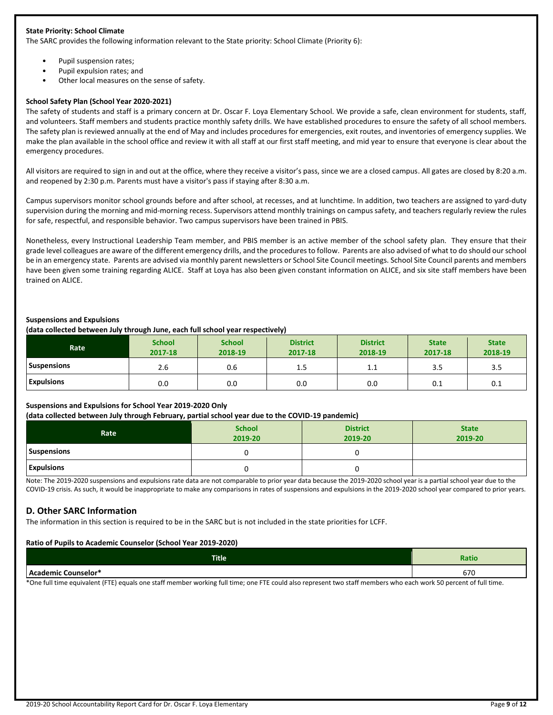### **State Priority: School Climate**

The SARC provides the following information relevant to the State priority: School Climate (Priority 6):

- Pupil suspension rates;
- Pupil expulsion rates; and
- Other local measures on the sense of safety.

### **School Safety Plan (School Year 2020-2021)**

The safety of students and staff is a primary concern at Dr. Oscar F. Loya Elementary School. We provide a safe, clean environment for students, staff, and volunteers. Staff members and students practice monthly safety drills. We have established procedures to ensure the safety of all school members. The safety plan is reviewed annually at the end of May and includes procedures for emergencies, exit routes, and inventories of emergency supplies. We make the plan available in the school office and review it with all staff at our first staff meeting, and mid year to ensure that everyone is clear about the emergency procedures.

All visitors are required to sign in and out at the office, where they receive a visitor's pass, since we are a closed campus. All gates are closed by 8:20 a.m. and reopened by 2:30 p.m. Parents must have a visitor's pass if staying after 8:30 a.m.

Campus supervisors monitor school grounds before and after school, at recesses, and at lunchtime. In addition, two teachers are assigned to yard-duty supervision during the morning and mid-morning recess. Supervisors attend monthly trainings on campus safety, and teachers regularly review the rules for safe, respectful, and responsible behavior. Two campus supervisors have been trained in PBIS.

Nonetheless, every Instructional Leadership Team member, and PBIS member is an active member of the school safety plan. They ensure that their grade level colleagues are aware of the different emergency drills, and the procedures to follow. Parents are also advised of what to do should our school be in an emergency state. Parents are advised via monthly parent newsletters or School Site Council meetings. School Site Council parents and members have been given some training regarding ALICE. Staff at Loya has also been given constant information on ALICE, and six site staff members have been trained on ALICE.

### **Suspensions and Expulsions**

**(data collected between July through June, each full school year respectively)**

| Rate               | <b>School</b><br>2017-18 | <b>School</b><br>2018-19 | <b>District</b><br>2017-18 | <b>District</b><br>2018-19 | <b>State</b><br>2017-18 | <b>State</b><br>2018-19 |
|--------------------|--------------------------|--------------------------|----------------------------|----------------------------|-------------------------|-------------------------|
| <b>Suspensions</b> | 2.6                      | 0.6                      | $1.5\,$                    | 1.1                        | 3.5                     | 3.5                     |
| <b>Expulsions</b>  | 0.0                      | 0.0                      | 0.0                        | 0.0                        | 0.1                     | 0.1                     |

### **Suspensions and Expulsions for School Year 2019-2020 Only**

### **(data collected between July through February, partial school year due to the COVID-19 pandemic)**

| Rate               | <b>School</b><br>2019-20 | <b>District</b><br>2019-20 | <b>State</b><br>2019-20 |
|--------------------|--------------------------|----------------------------|-------------------------|
| <b>Suspensions</b> |                          |                            |                         |
| <b>Expulsions</b>  |                          |                            |                         |

Note: The 2019-2020 suspensions and expulsions rate data are not comparable to prior year data because the 2019-2020 school year is a partial school year due to the COVID-19 crisis. As such, it would be inappropriate to make any comparisons in rates of suspensions and expulsions in the 2019-2020 school year compared to prior years.

# **D. Other SARC Information**

The information in this section is required to be in the SARC but is not included in the state priorities for LCFF.

### **Ratio of Pupils to Academic Counselor (School Year 2019-2020)**

| <b>Title</b>        | <b>Ratio</b> |
|---------------------|--------------|
| Academic Counselor* | $\sim$       |
| hlal                | 07 C         |

\*One full time equivalent (FTE) equals one staff member working full time; one FTE could also represent two staff members who each work 50 percent of full time.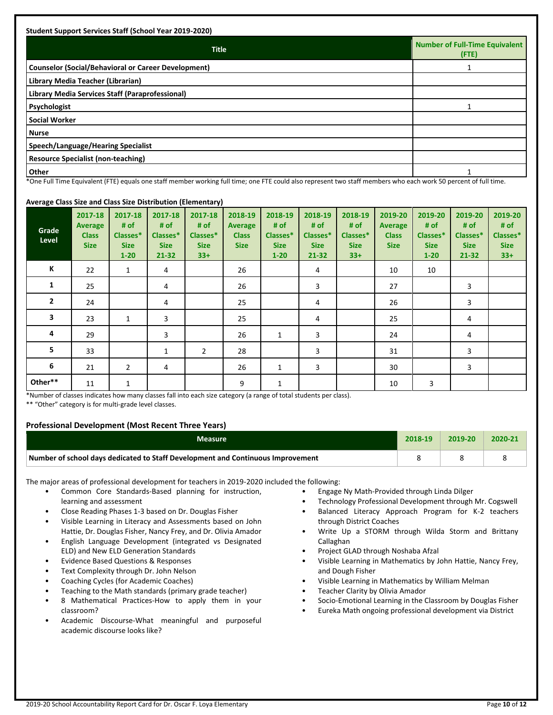| <b>Title</b>                                               | Number of Full-Time Equivalent<br>(FTE) |
|------------------------------------------------------------|-----------------------------------------|
| <b>Counselor (Social/Behavioral or Career Development)</b> |                                         |
| Library Media Teacher (Librarian)                          |                                         |
| Library Media Services Staff (Paraprofessional)            |                                         |
| Psychologist                                               |                                         |
| <b>Social Worker</b>                                       |                                         |
| l Nurse                                                    |                                         |
| Speech/Language/Hearing Specialist                         |                                         |
| <b>Resource Specialist (non-teaching)</b>                  |                                         |
| <b>Other</b>                                               |                                         |

\*One Full Time Equivalent (FTE) equals one staff member working full time; one FTE could also represent two staff members who each work 50 percent of full time.

### **Average Class Size and Class Size Distribution (Elementary)**

| Grade<br>Level | 2017-18<br><b>Average</b><br><b>Class</b><br><b>Size</b> | 2017-18<br># of<br>Classes*<br><b>Size</b><br>$1 - 20$ | 2017-18<br># of<br>Classes*<br><b>Size</b><br>$21 - 32$ | . .<br>2017-18<br># of<br>Classes*<br><b>Size</b><br>$33+$ | 2018-19<br><b>Average</b><br><b>Class</b><br><b>Size</b> | 2018-19<br># of<br>Classes*<br><b>Size</b><br>$1 - 20$ | 2018-19<br># of<br>Classes*<br><b>Size</b><br>21-32 | 2018-19<br># of<br>Classes*<br><b>Size</b><br>$33+$ | 2019-20<br>Average<br><b>Class</b><br><b>Size</b> | 2019-20<br># of<br>Classes*<br><b>Size</b><br>$1 - 20$ | 2019-20<br># of<br>Classes*<br><b>Size</b><br>$21 - 32$ | 2019-20<br># of<br>Classes*<br><b>Size</b><br>$33+$ |
|----------------|----------------------------------------------------------|--------------------------------------------------------|---------------------------------------------------------|------------------------------------------------------------|----------------------------------------------------------|--------------------------------------------------------|-----------------------------------------------------|-----------------------------------------------------|---------------------------------------------------|--------------------------------------------------------|---------------------------------------------------------|-----------------------------------------------------|
| К              | 22                                                       | $\mathbf{1}$                                           | 4                                                       |                                                            | 26                                                       |                                                        | 4                                                   |                                                     | 10                                                | 10                                                     |                                                         |                                                     |
| $\mathbf{1}$   | 25                                                       |                                                        | 4                                                       |                                                            | 26                                                       |                                                        | 3                                                   |                                                     | 27                                                |                                                        | 3                                                       |                                                     |
| $\overline{2}$ | 24                                                       |                                                        | 4                                                       |                                                            | 25                                                       |                                                        | 4                                                   |                                                     | 26                                                |                                                        | 3                                                       |                                                     |
| 3              | 23                                                       | $\mathbf{1}$                                           | 3                                                       |                                                            | 25                                                       |                                                        | 4                                                   |                                                     | 25                                                |                                                        | 4                                                       |                                                     |
| 4              | 29                                                       |                                                        | 3                                                       |                                                            | 26                                                       | 1                                                      | 3                                                   |                                                     | 24                                                |                                                        | 4                                                       |                                                     |
| 5              | 33                                                       |                                                        | $\mathbf{1}$                                            | 2                                                          | 28                                                       |                                                        | 3                                                   |                                                     | 31                                                |                                                        | 3                                                       |                                                     |
| 6              | 21                                                       | $\overline{2}$                                         | 4                                                       |                                                            | 26                                                       | 1                                                      | 3                                                   |                                                     | 30                                                |                                                        | 3                                                       |                                                     |
| Other**        | 11                                                       | $\mathbf 1$                                            |                                                         |                                                            | 9                                                        | 1                                                      |                                                     |                                                     | 10                                                | 3                                                      |                                                         |                                                     |

\*Number of classes indicates how many classes fall into each size category (a range of total students per class).

\*\* "Other" category is for multi-grade level classes.

### **Professional Development (Most Recent Three Years)**

| <b>Measure</b>                                                                  | 2018-19 | 2019-20 | 2020-2 |
|---------------------------------------------------------------------------------|---------|---------|--------|
| Number of school days dedicated to Staff Development and Continuous Improvement |         |         |        |

The major areas of professional development for teachers in 2019-2020 included the following:

- Common Core Standards-Based planning for instruction, learning and assessment
- Close Reading Phases 1-3 based on Dr. Douglas Fisher
- Visible Learning in Literacy and Assessments based on John Hattie, Dr. Douglas Fisher, Nancy Frey, and Dr. Olivia Amador
- English Language Development (integrated vs Designated ELD) and New ELD Generation Standards
- Evidence Based Questions & Responses
- Text Complexity through Dr. John Nelson
- Coaching Cycles (for Academic Coaches)
- Teaching to the Math standards (primary grade teacher)
- 8 Mathematical Practices-How to apply them in your classroom?
- Academic Discourse-What meaningful and purposeful academic discourse looks like?
- Engage Ny Math-Provided through Linda Dilger
- Technology Professional Development through Mr. Cogswell
- Balanced Literacy Approach Program for K-2 teachers through District Coaches
- Write Up a STORM through Wilda Storm and Brittany Callaghan
- Project GLAD through Noshaba Afzal
- Visible Learning in Mathematics by John Hattie, Nancy Frey, and Dough Fisher
- Visible Learning in Mathematics by William Melman
- Teacher Clarity by Olivia Amador
- Socio-Emotional Learning in the Classroom by Douglas Fisher
- Eureka Math ongoing professional development via District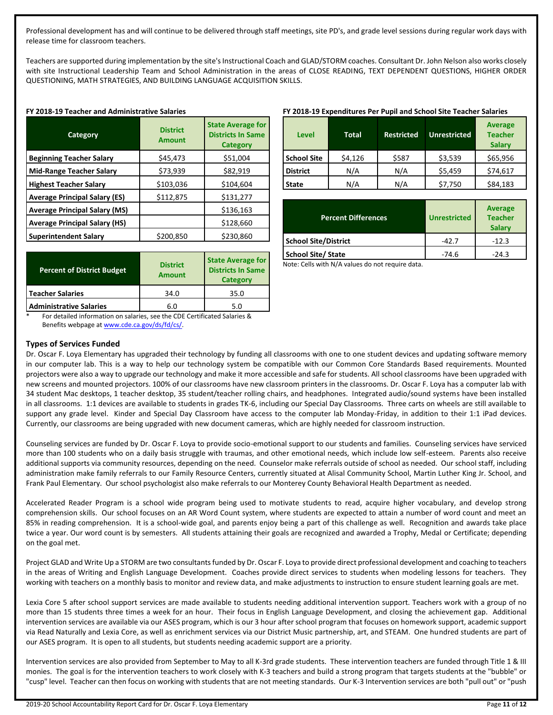Professional development has and will continue to be delivered through staff meetings, site PD's, and grade level sessions during regular work days with release time for classroom teachers.

Teachers are supported during implementation by the site's Instructional Coach and GLAD/STORM coaches. Consultant Dr. John Nelson also works closely with site Instructional Leadership Team and School Administration in the areas of CLOSE READING, TEXT DEPENDENT QUESTIONS, HIGHER ORDER QUESTIONING, MATH STRATEGIES, AND BUILDING LANGUAGE ACQUISITION SKILLS.

|  |  |  |  | FY 2018-19 Teacher and Administrative Salaries |  |
|--|--|--|--|------------------------------------------------|--|
|--|--|--|--|------------------------------------------------|--|

| Category                             | <b>District</b><br><b>Amount</b> | <b>State Average for</b><br><b>Districts In Same</b><br><b>Category</b> |
|--------------------------------------|----------------------------------|-------------------------------------------------------------------------|
| <b>Beginning Teacher Salary</b>      | \$45,473                         | \$51,004                                                                |
| <b>Mid-Range Teacher Salary</b>      | \$73,939                         | \$82,919                                                                |
| <b>Highest Teacher Salary</b>        | \$103,036                        | \$104,604                                                               |
| <b>Average Principal Salary (ES)</b> | \$112,875                        | \$131,277                                                               |
| <b>Average Principal Salary (MS)</b> |                                  | \$136,163                                                               |
| <b>Average Principal Salary (HS)</b> |                                  | \$128,660                                                               |
| <b>Superintendent Salary</b>         | \$200,850                        | \$230,860                                                               |

| <b>Percent of District Budget</b> | <b>District</b><br><b>Amount</b> | <b>State Average for</b><br><b>Districts In Same</b><br><b>Category</b> |
|-----------------------------------|----------------------------------|-------------------------------------------------------------------------|
| <b>Teacher Salaries</b>           | 34.0                             | 35.0                                                                    |
| <b>Administrative Salaries</b>    | 6.0                              | 5.0                                                                     |

**FY 2018-19 Expenditures Per Pupil and School Site Teacher Salaries**

| <b>Level</b>       | <b>Total</b> | <b>Restricted</b> | <b>Unrestricted</b> | <b>Average</b><br><b>Teacher</b><br><b>Salary</b> |
|--------------------|--------------|-------------------|---------------------|---------------------------------------------------|
| <b>School Site</b> | \$4,126      | \$587             | \$3,539             | \$65,956                                          |
| <b>District</b>    | N/A          | N/A               | \$5,459             | \$74,617                                          |
| <b>State</b>       | N/A          | N/A               | \$7,750             | \$84,183                                          |

| <b>Percent Differences</b>  | <b>Unrestricted</b> | <b>Average</b><br><b>Teacher</b><br><b>Salary</b> |
|-----------------------------|---------------------|---------------------------------------------------|
| <b>School Site/District</b> | $-42.7$             | $-12.3$                                           |
| <b>School Site/State</b>    | $-74.6$             | $-24.3$                                           |

Note: Cells with N/A values do not require data.

For detailed information on salaries, see the CDE Certificated Salaries & Benefits webpage a[t www.cde.ca.gov/ds/fd/cs/.](http://www.cde.ca.gov/ds/fd/cs/)

### **Types of Services Funded**

Dr. Oscar F. Loya Elementary has upgraded their technology by funding all classrooms with one to one student devices and updating software memory in our computer lab. This is a way to help our technology system be compatible with our Common Core Standards Based requirements. Mounted projectors were also a way to upgrade our technology and make it more accessible and safe for students. All school classrooms have been upgraded with new screens and mounted projectors. 100% of our classrooms have new classroom printers in the classrooms. Dr. Oscar F. Loya has a computer lab with 34 student Mac desktops, 1 teacher desktop, 35 student/teacher rolling chairs, and headphones. Integrated audio/sound systems have been installed in all classrooms. 1:1 devices are available to students in grades TK-6, including our Special Day Classrooms. Three carts on wheels are still available to support any grade level. Kinder and Special Day Classroom have access to the computer lab Monday-Friday, in addition to their 1:1 iPad devices. Currently, our classrooms are being upgraded with new document cameras, which are highly needed for classroom instruction.

Counseling services are funded by Dr. Oscar F. Loya to provide socio-emotional support to our students and families. Counseling services have serviced more than 100 students who on a daily basis struggle with traumas, and other emotional needs, which include low self-esteem. Parents also receive additional supports via community resources, depending on the need. Counselor make referrals outside of school as needed. Our school staff, including administration make family referrals to our Family Resource Centers, currently situated at Alisal Community School, Martin Luther King Jr. School, and Frank Paul Elementary. Our school psychologist also make referrals to our Monterey County Behavioral Health Department as needed.

Accelerated Reader Program is a school wide program being used to motivate students to read, acquire higher vocabulary, and develop strong comprehension skills. Our school focuses on an AR Word Count system, where students are expected to attain a number of word count and meet an 85% in reading comprehension. It is a school-wide goal, and parents enjoy being a part of this challenge as well. Recognition and awards take place twice a year. Our word count is by semesters. All students attaining their goals are recognized and awarded a Trophy, Medal or Certificate; depending on the goal met.

Project GLAD and Write Up a STORM are two consultants funded by Dr. Oscar F. Loya to provide direct professional development and coaching to teachers in the areas of Writing and English Language Development. Coaches provide direct services to students when modeling lessons for teachers. They working with teachers on a monthly basis to monitor and review data, and make adjustments to instruction to ensure student learning goals are met.

Lexia Core 5 after school support services are made available to students needing additional intervention support. Teachers work with a group of no more than 15 students three times a week for an hour. Their focus in English Language Development, and closing the achievement gap. Additional intervention services are available via our ASES program, which is our 3 hour after school program that focuses on homework support, academic support via Read Naturally and Lexia Core, as well as enrichment services via our District Music partnership, art, and STEAM. One hundred students are part of our ASES program. It is open to all students, but students needing academic support are a priority.

Intervention services are also provided from September to May to all K-3rd grade students. These intervention teachers are funded through Title 1 & III monies. The goal is for the intervention teachers to work closely with K-3 teachers and build a strong program that targets students at the "bubble" or "cusp" level. Teacher can then focus on working with students that are not meeting standards. Our K-3 Intervention services are both "pull out" or "push